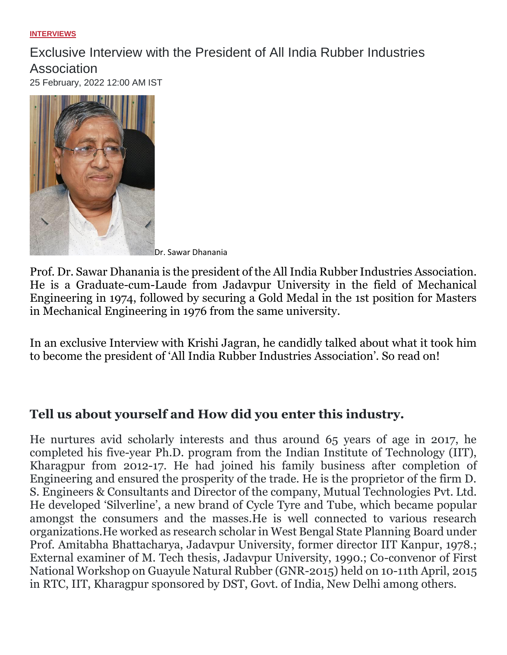#### **[INTERVIEWS](https://krishijagran.com/interviews)**

# Exclusive Interview with the President of All India Rubber Industries Association

25 February, 2022 12:00 AM IST



Dr. Sawar Dhanania

Prof. Dr. Sawar Dhanania is the president of the All India Rubber Industries Association. He is a Graduate-cum-Laude from Jadavpur University in the field of Mechanical Engineering in 1974, followed by securing a Gold Medal in the 1st position for Masters in Mechanical Engineering in 1976 from the same university.

In an exclusive Interview with Krishi Jagran, he candidly talked about what it took him to become the president of 'All India Rubber Industries Association'. So read on!

### **Tell us about yourself and How did you enter this industry.**

He nurtures avid scholarly interests and thus around 65 years of age in 2017, he completed his five-year Ph.D. program from the Indian Institute of Technology (IIT), Kharagpur from 2012-17. He had joined his family business after completion of Engineering and ensured the prosperity of the trade. He is the proprietor of the firm D. S. Engineers & Consultants and Director of the company, Mutual Technologies Pvt. Ltd. He developed 'Silverline', a new brand of Cycle Tyre and Tube, which became popular amongst the consumers and the masses.He is well connected to various research organizations.He worked as research scholar in West Bengal State Planning Board under Prof. Amitabha Bhattacharya, Jadavpur University, former director IIT Kanpur, 1978.; External examiner of M. Tech thesis, Jadavpur University, 1990.; Co-convenor of First National Workshop on Guayule Natural Rubber (GNR-2015) held on 10-11th April, 2015 in RTC, IIT, Kharagpur sponsored by DST, Govt. of India, New Delhi among others.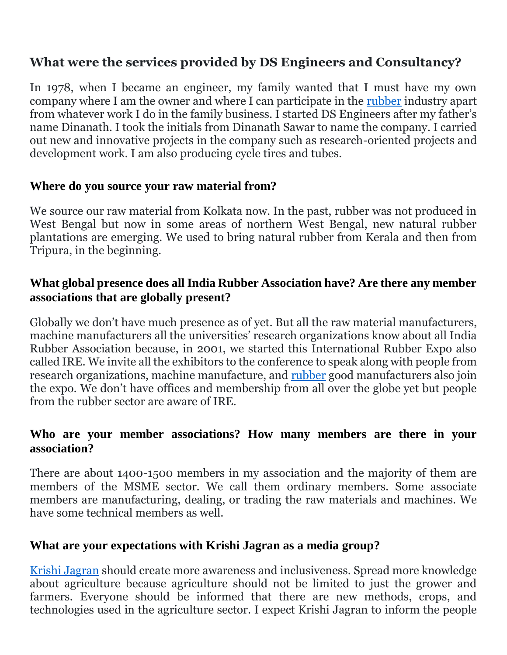## **What were the services provided by DS Engineers and Consultancy?**

In 1978, when I became an engineer, my family wanted that I must have my own company where I am the owner and where I can participate in the [rubber](https://krishijagran.com/agripedia/know-about-the-high-yielding-rubber-intercrops-and-how-they-can-be-grown/) industry apart from whatever work I do in the family business. I started DS Engineers after my father's name Dinanath. I took the initials from Dinanath Sawar to name the company. I carried out new and innovative projects in the company such as research-oriented projects and development work. I am also producing cycle tires and tubes.

#### **Where do you source your raw material from?**

We source our raw material from Kolkata now. In the past, rubber was not produced in West Bengal but now in some areas of northern West Bengal, new natural rubber plantations are emerging. We used to bring natural rubber from Kerala and then from Tripura, in the beginning.

#### **What global presence does all India Rubber Association have? Are there any member associations that are globally present?**

Globally we don't have much presence as of yet. But all the raw material manufacturers, machine manufacturers all the universities' research organizations know about all India Rubber Association because, in 2001, we started this International Rubber Expo also called IRE. We invite all the exhibitors to the conference to speak along with people from research organizations, machine manufacture, and [rubber](https://krishijagran.com/commodity-news/rubber-business-may-register-sharp-growth-in-global-indian-markets-this-year/) good manufacturers also join the expo. We don't have offices and membership from all over the globe yet but people from the rubber sector are aware of IRE.

#### **Who are your member associations? How many members are there in your association?**

There are about 1400-1500 members in my association and the majority of them are members of the MSME sector. We call them ordinary members. Some associate members are manufacturing, dealing, or trading the raw materials and machines. We have some technical members as well.

### **What are your expectations with Krishi Jagran as a media group?**

[Krishi Jagran](https://krishijagran.com/magazines/) should create more awareness and inclusiveness. Spread more knowledge about agriculture because agriculture should not be limited to just the grower and farmers. Everyone should be informed that there are new methods, crops, and technologies used in the agriculture sector. I expect Krishi Jagran to inform the people